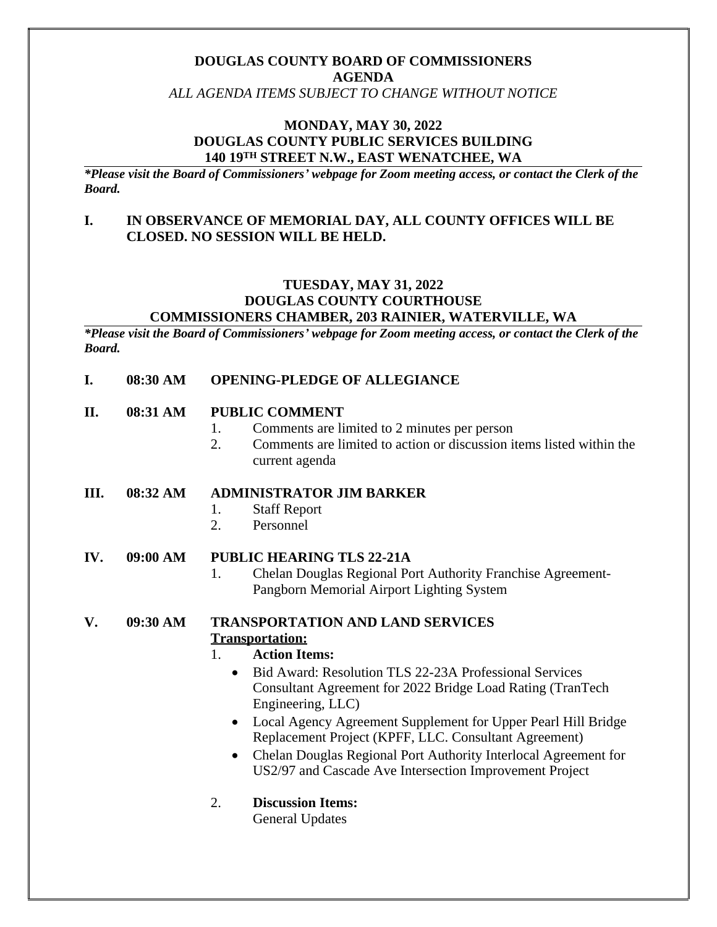# **DOUGLAS COUNTY BOARD OF COMMISSIONERS AGENDA**

*ALL AGENDA ITEMS SUBJECT TO CHANGE WITHOUT NOTICE*

## **MONDAY, MAY 30, 2022 DOUGLAS COUNTY PUBLIC SERVICES BUILDING 140 19TH STREET N.W., EAST WENATCHEE, WA**

*\*Please visit the Board of Commissioners' webpage for Zoom meeting access, or contact the Clerk of the Board.*

## **I. IN OBSERVANCE OF MEMORIAL DAY, ALL COUNTY OFFICES WILL BE CLOSED. NO SESSION WILL BE HELD.**

#### **TUESDAY, MAY 31, 2022 DOUGLAS COUNTY COURTHOUSE COMMISSIONERS CHAMBER, 203 RAINIER, WATERVILLE, WA**

*\*Please visit the Board of Commissioners' webpage for Zoom meeting access, or contact the Clerk of the Board.*

### **I. 08:30 AM OPENING-PLEDGE OF ALLEGIANCE**

### **II. 08:31 AM PUBLIC COMMENT**

- 1. Comments are limited to 2 minutes per person
- 2. Comments are limited to action or discussion items listed within the current agenda

### **III. 08:32 AM ADMINISTRATOR JIM BARKER**

- 1. Staff Report
- 2. Personnel

### **IV. 09:00 AM PUBLIC HEARING TLS 22-21A**

1. Chelan Douglas Regional Port Authority Franchise Agreement-Pangborn Memorial Airport Lighting System

## **V. 09:30 AM TRANSPORTATION AND LAND SERVICES Transportation:**

## 1. **Action Items:**

- Bid Award: Resolution TLS 22-23A Professional Services Consultant Agreement for 2022 Bridge Load Rating (TranTech Engineering, LLC)
- Local Agency Agreement Supplement for Upper Pearl Hill Bridge Replacement Project (KPFF, LLC. Consultant Agreement)
- Chelan Douglas Regional Port Authority Interlocal Agreement for US2/97 and Cascade Ave Intersection Improvement Project
- 2. **Discussion Items:**

General Updates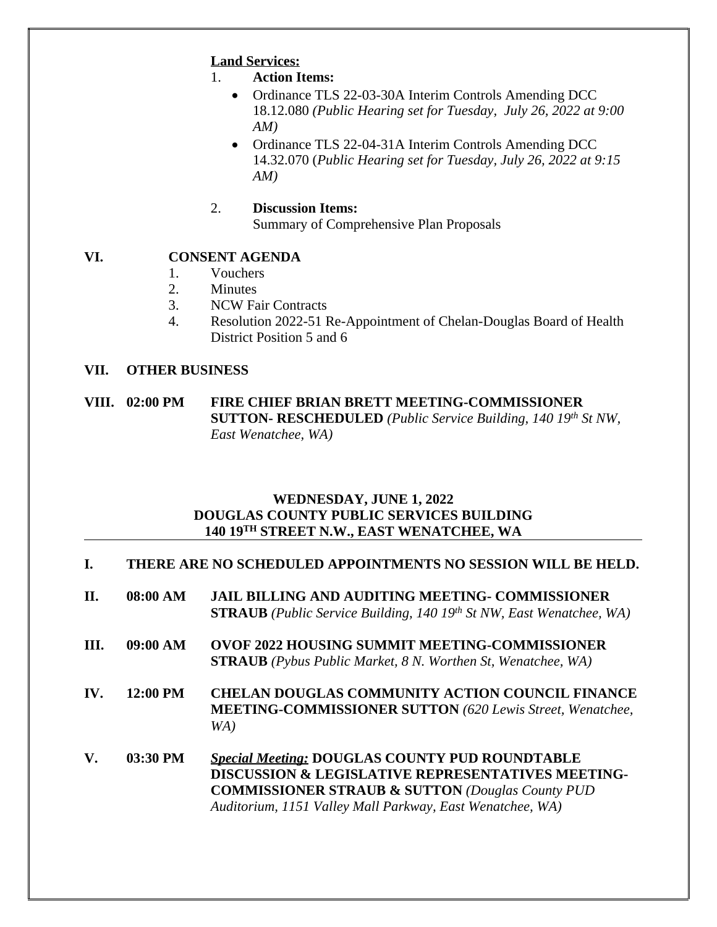# **Land Services:**

- 1. **Action Items:**
	- Ordinance TLS 22-03-30A Interim Controls Amending DCC 18.12.080 *(Public Hearing set for Tuesday, July 26, 2022 at 9:00 AM)*
	- Ordinance TLS 22-04-31A Interim Controls Amending DCC 14.32.070 (*Public Hearing set for Tuesday, July 26, 2022 at 9:15 AM)*
- 2. **Discussion Items:** Summary of Comprehensive Plan Proposals

# **VI. CONSENT AGENDA**

- 1. Vouchers
- 2. Minutes
- 3. NCW Fair Contracts
- 4. Resolution 2022-51 Re-Appointment of Chelan-Douglas Board of Health District Position 5 and 6

## **VII. OTHER BUSINESS**

**VIII. 02:00 PM FIRE CHIEF BRIAN BRETT MEETING-COMMISSIONER SUTTON- RESCHEDULED** *(Public Service Building, 140 19th St NW, East Wenatchee, WA)*

## **WEDNESDAY, JUNE 1, 2022 DOUGLAS COUNTY PUBLIC SERVICES BUILDING 140 19TH STREET N.W., EAST WENATCHEE, WA**

# **I. THERE ARE NO SCHEDULED APPOINTMENTS NO SESSION WILL BE HELD.**

- **II. 08:00 AM JAIL BILLING AND AUDITING MEETING- COMMISSIONER STRAUB** *(Public Service Building, 140 19th St NW, East Wenatchee, WA)*
- **III. 09:00 AM OVOF 2022 HOUSING SUMMIT MEETING-COMMISSIONER STRAUB** *(Pybus Public Market, 8 N. Worthen St, Wenatchee, WA)*
- **IV. 12:00 PM CHELAN DOUGLAS COMMUNITY ACTION COUNCIL FINANCE MEETING-COMMISSIONER SUTTON** *(620 Lewis Street, Wenatchee, WA)*
- **V. 03:30 PM** *Special Meeting:* **DOUGLAS COUNTY PUD ROUNDTABLE DISCUSSION & LEGISLATIVE REPRESENTATIVES MEETING-COMMISSIONER STRAUB & SUTTON** *(Douglas County PUD Auditorium, 1151 Valley Mall Parkway, East Wenatchee, WA)*